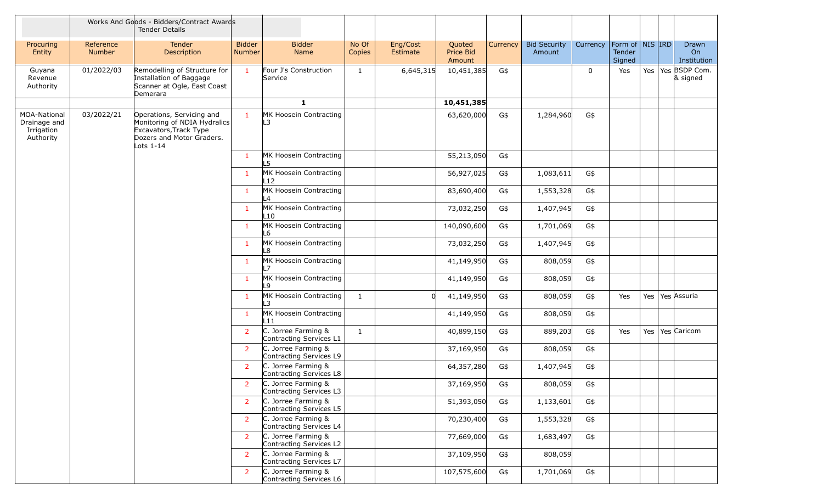|                                                         |                     | Works And Goods - Bidders/Contract Awards<br><b>Tender Details</b>                                                              |                                |                                                  |                 |                      |                               |          |                               |             |                                     |     |                            |
|---------------------------------------------------------|---------------------|---------------------------------------------------------------------------------------------------------------------------------|--------------------------------|--------------------------------------------------|-----------------|----------------------|-------------------------------|----------|-------------------------------|-------------|-------------------------------------|-----|----------------------------|
| Procuring<br>Entity                                     | Reference<br>Number | Tender<br>Description                                                                                                           | <b>Bidder</b><br><b>Number</b> | <b>Bidder</b><br>Name                            | No Of<br>Copies | Eng/Cost<br>Estimate | Quoted<br>Price Bid<br>Amount | Currency | <b>Bid Security</b><br>Amount | Currency    | Form of NIS IRD<br>Tender<br>Signed |     | Drawn<br>On<br>Institution |
| Guyana<br>Revenue<br>Authority                          | 01/2022/03          | Remodelling of Structure for<br>Installation of Baggage<br>Scanner at Ogle, East Coast<br>Demerara                              | $\mathbf{1}$                   | Four J's Construction<br>Service                 | $\mathbf{1}$    | 6,645,315            | 10,451,385                    | G\$      |                               | $\mathbf 0$ | Yes                                 | Yes | Yes BSDP Com.<br>& signed  |
|                                                         |                     |                                                                                                                                 |                                | $\mathbf{1}$                                     |                 |                      | 10,451,385                    |          |                               |             |                                     |     |                            |
| MOA-National<br>Drainage and<br>Irrigation<br>Authority | 03/2022/21          | Operations, Servicing and<br>Monitoring of NDIA Hydralics<br>Excavators, Track Type<br>Dozers and Motor Graders.<br>Lots $1-14$ | $\mathbf{1}$                   | MK Hoosein Contracting<br>L3                     |                 |                      | 63,620,000                    | G\$      | 1,284,960                     | G\$         |                                     |     |                            |
|                                                         |                     |                                                                                                                                 | $\mathbf{1}$                   | MK Hoosein Contracting<br>L5                     |                 |                      | 55,213,050                    | G\$      |                               |             |                                     |     |                            |
|                                                         |                     |                                                                                                                                 | $\mathbf{1}$                   | MK Hoosein Contracting<br>L12                    |                 |                      | 56,927,025                    | G\$      | 1,083,611                     | G\$         |                                     |     |                            |
|                                                         |                     |                                                                                                                                 | $\mathbf{1}$                   | MK Hoosein Contracting<br>L4                     |                 |                      | 83,690,400                    | G\$      | 1,553,328                     | G\$         |                                     |     |                            |
|                                                         |                     |                                                                                                                                 | $\mathbf{1}$                   | MK Hoosein Contracting<br>L10                    |                 |                      | 73,032,250                    | G\$      | 1,407,945                     | G\$         |                                     |     |                            |
|                                                         |                     |                                                                                                                                 | $\mathbf{1}$                   | MK Hoosein Contracting<br>L6                     |                 |                      | 140,090,600                   | G\$      | 1,701,069                     | G\$         |                                     |     |                            |
|                                                         |                     |                                                                                                                                 | $\mathbf{1}$                   | MK Hoosein Contracting<br>L8                     |                 |                      | 73,032,250                    | G\$      | 1,407,945                     | G\$         |                                     |     |                            |
|                                                         |                     |                                                                                                                                 | $\mathbf{1}$                   | MK Hoosein Contracting                           |                 |                      | 41,149,950                    | G\$      | 808,059                       | G\$         |                                     |     |                            |
|                                                         |                     |                                                                                                                                 | $\mathbf{1}$                   | MK Hoosein Contracting<br>L9                     |                 |                      | 41,149,950                    | G\$      | 808,059                       | G\$         |                                     |     |                            |
|                                                         |                     |                                                                                                                                 | $\mathbf{1}$                   | MK Hoosein Contracting<br>L3                     | $\mathbf{1}$    | <sup>n</sup>         | 41,149,950                    | G\$      | 808,059                       | G\$         | Yes                                 | Yes | Yes Assuria                |
|                                                         |                     |                                                                                                                                 | $\mathbf{1}$                   | MK Hoosein Contracting<br>L11                    |                 |                      | 41,149,950                    | G\$      | 808,059                       | G\$         |                                     |     |                            |
|                                                         |                     |                                                                                                                                 | 2                              | C. Jorree Farming &<br>Contracting Services L1   | $\mathbf{1}$    |                      | 40,899,150                    | G\$      | 889,203                       | G\$         | Yes                                 | Yes | Yes Caricom                |
|                                                         |                     |                                                                                                                                 | 2                              | C. Jorree Farming &<br>Contracting Services L9   |                 |                      | 37,169,950                    | G\$      | 808,059                       | G\$         |                                     |     |                            |
|                                                         |                     |                                                                                                                                 | 2                              | C. Jorree Farming &<br>Contracting Services L8   |                 |                      | 64,357,280                    | G\$      | 1,407,945                     | G\$         |                                     |     |                            |
|                                                         |                     |                                                                                                                                 | 2                              | C. Jorree Farming &<br>Contracting Services L3   |                 |                      | 37,169,950                    | G\$      | 808,059                       | G\$         |                                     |     |                            |
|                                                         |                     |                                                                                                                                 | $\overline{2}$                 | C. Jorree Farming &<br>Contracting Services L5   |                 |                      | 51,393,050                    | G\$      | 1,133,601                     | G\$         |                                     |     |                            |
|                                                         |                     |                                                                                                                                 | $\overline{2}$                 | C. Jorree Farming &<br>Contracting Services L4   |                 |                      | 70,230,400                    | G\$      | 1,553,328                     | G\$         |                                     |     |                            |
|                                                         |                     |                                                                                                                                 | $\overline{2}$                 | $C.$ Jorree Farming &<br>Contracting Services L2 |                 |                      | 77,669,000                    | G\$      | 1,683,497                     | G\$         |                                     |     |                            |
|                                                         |                     |                                                                                                                                 | 2                              | $C.$ Jorree Farming &<br>Contracting Services L7 |                 |                      | 37,109,950                    | G\$      | 808,059                       |             |                                     |     |                            |
|                                                         |                     |                                                                                                                                 | 2                              | C. Jorree Farming &<br>Contracting Services L6   |                 |                      | 107,575,600                   | G\$      | 1,701,069                     | G\$         |                                     |     |                            |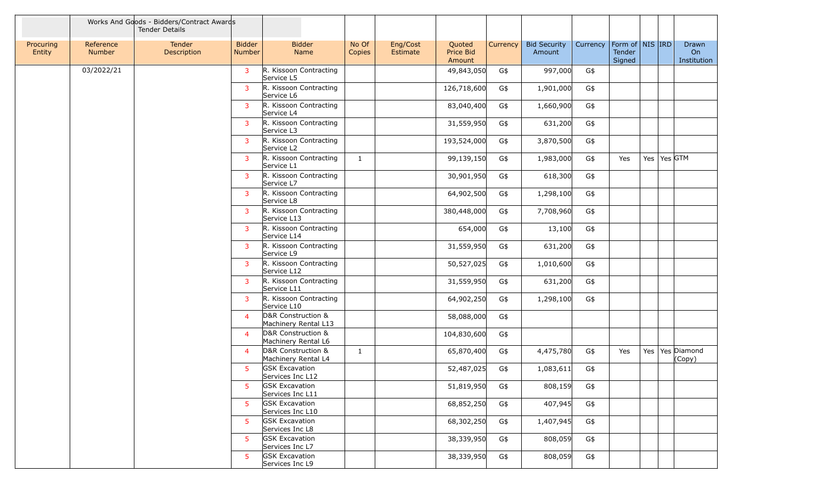|                     |                     | Works And Goods - Bidders/Contract Awards<br><b>Tender Details</b> |                         |                                            |                 |                      |                               |          |                               |          |                                             |     |           |                            |
|---------------------|---------------------|--------------------------------------------------------------------|-------------------------|--------------------------------------------|-----------------|----------------------|-------------------------------|----------|-------------------------------|----------|---------------------------------------------|-----|-----------|----------------------------|
| Procuring<br>Entity | Reference<br>Number | Tender<br>Description                                              | <b>Bidder</b><br>Number | <b>Bidder</b><br>Name                      | No Of<br>Copies | Eng/Cost<br>Estimate | Quoted<br>Price Bid<br>Amount | Currency | <b>Bid Security</b><br>Amount | Currency | Form of $\vert$ NIS IRD<br>Tender<br>Signed |     |           | Drawn<br>On<br>Institution |
|                     | 03/2022/21          |                                                                    | $\overline{3}$          | R. Kissoon Contracting<br>Service L5       |                 |                      | 49,843,050                    | G\$      | 997,000                       | G\$      |                                             |     |           |                            |
|                     |                     |                                                                    | $\overline{3}$          | R. Kissoon Contracting<br>Service L6       |                 |                      | 126,718,600                   | G\$      | 1,901,000                     | G\$      |                                             |     |           |                            |
|                     |                     |                                                                    | $\overline{3}$          | R. Kissoon Contracting<br>Service L4       |                 |                      | 83,040,400                    | G\$      | 1,660,900                     | G\$      |                                             |     |           |                            |
|                     |                     |                                                                    | $\overline{3}$          | R. Kissoon Contracting<br>Service L3       |                 |                      | 31,559,950                    | G\$      | 631,200                       | G\$      |                                             |     |           |                            |
|                     |                     |                                                                    | $\overline{3}$          | R. Kissoon Contracting<br>Service L2       |                 |                      | 193,524,000                   | G\$      | 3,870,500                     | G\$      |                                             |     |           |                            |
|                     |                     |                                                                    | $\overline{3}$          | R. Kissoon Contracting<br>Service L1       | $\mathbf{1}$    |                      | 99,139,150                    | G\$      | 1,983,000                     | G\$      | Yes                                         | Yes | $Yes$ GTM |                            |
|                     |                     |                                                                    | $\overline{3}$          | R. Kissoon Contracting<br>Service L7       |                 |                      | 30,901,950                    | G\$      | 618,300                       | G\$      |                                             |     |           |                            |
|                     |                     |                                                                    | 3                       | R. Kissoon Contracting<br>Service L8       |                 |                      | 64,902,500                    | G\$      | 1,298,100                     | G\$      |                                             |     |           |                            |
|                     |                     |                                                                    | $\overline{3}$          | R. Kissoon Contracting<br>Service L13      |                 |                      | 380,448,000                   | G\$      | 7,708,960                     | G\$      |                                             |     |           |                            |
|                     |                     |                                                                    | $\overline{3}$          | R. Kissoon Contracting<br>Service L14      |                 |                      | 654,000                       | G\$      | 13,100                        | G\$      |                                             |     |           |                            |
|                     |                     |                                                                    | $\overline{3}$          | R. Kissoon Contracting<br>Service L9       |                 |                      | 31,559,950                    | G\$      | 631,200                       | G\$      |                                             |     |           |                            |
|                     |                     |                                                                    | $\overline{3}$          | R. Kissoon Contracting<br>Service L12      |                 |                      | 50,527,025                    | G\$      | 1,010,600                     | G\$      |                                             |     |           |                            |
|                     |                     |                                                                    | $\overline{3}$          | R. Kissoon Contracting<br>Service L11      |                 |                      | 31,559,950                    | G\$      | 631,200                       | G\$      |                                             |     |           |                            |
|                     |                     |                                                                    | $\overline{3}$          | R. Kissoon Contracting<br>Service L10      |                 |                      | 64,902,250                    | G\$      | 1,298,100                     | G\$      |                                             |     |           |                            |
|                     |                     |                                                                    | $\overline{4}$          | D&R Construction &<br>Machinery Rental L13 |                 |                      | 58,088,000                    | G\$      |                               |          |                                             |     |           |                            |
|                     |                     |                                                                    | $\overline{4}$          | D&R Construction &<br>Machinery Rental L6  |                 |                      | 104,830,600                   | G\$      |                               |          |                                             |     |           |                            |
|                     |                     |                                                                    | $\overline{4}$          | D&R Construction &<br>Machinery Rental L4  | $\mathbf{1}$    |                      | 65,870,400                    | G\$      | 4,475,780                     | G\$      | Yes                                         | Yes |           | Yes Diamond<br>(Copy)      |
|                     |                     |                                                                    | -5                      | <b>GSK Excavation</b><br>Services Inc L12  |                 |                      | 52,487,025                    | G\$      | 1,083,611                     | G\$      |                                             |     |           |                            |
|                     |                     |                                                                    | 5                       | <b>GSK Excavation</b><br>Services Inc L11  |                 |                      | 51,819,950                    | G\$      | 808,159                       | G\$      |                                             |     |           |                            |
|                     |                     |                                                                    | $5^{\circ}$             | <b>GSK Excavation</b><br>Services Inc L10  |                 |                      | 68,852,250                    | G\$      | 407,945                       | G\$      |                                             |     |           |                            |
|                     |                     |                                                                    | $5^{\circ}$             | <b>GSK Excavation</b><br>Services Inc L8   |                 |                      | 68,302,250                    | G\$      | 1,407,945                     | G\$      |                                             |     |           |                            |
|                     |                     |                                                                    | -5                      | <b>GSK Excavation</b><br>Services Inc L7   |                 |                      | 38,339,950                    | G\$      | 808,059                       | G\$      |                                             |     |           |                            |
|                     |                     |                                                                    | -5                      | <b>GSK Excavation</b><br>Services Inc L9   |                 |                      | 38,339,950                    | G\$      | 808,059                       | G\$      |                                             |     |           |                            |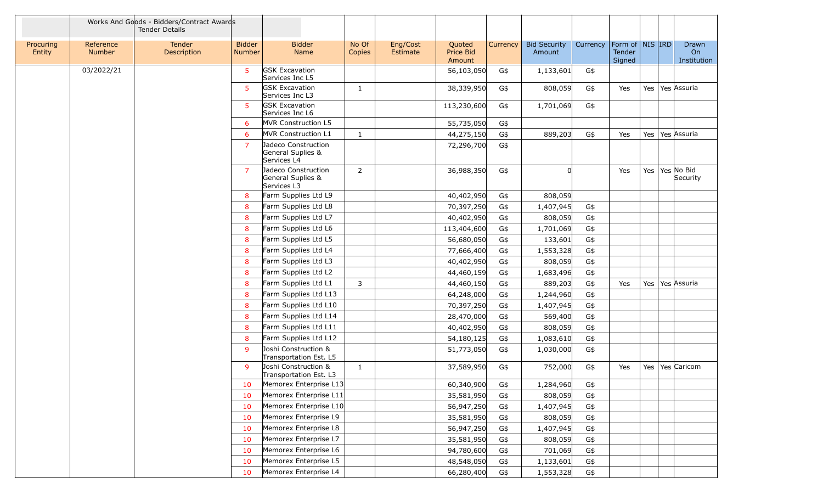|                     |                            | Works And Goods - Bidders/Contract Awards<br><b>Tender Details</b> |                         |                                                         |                 |                      |                               |          |                               |          |                                     |     |                            |
|---------------------|----------------------------|--------------------------------------------------------------------|-------------------------|---------------------------------------------------------|-----------------|----------------------|-------------------------------|----------|-------------------------------|----------|-------------------------------------|-----|----------------------------|
| Procuring<br>Entity | Reference<br><b>Number</b> | <b>Tender</b><br>Description                                       | <b>Bidder</b><br>Number | <b>Bidder</b><br>Name                                   | No Of<br>Copies | Eng/Cost<br>Estimate | Quoted<br>Price Bid<br>Amount | Currency | <b>Bid Security</b><br>Amount | Currency | Form of NIS IRD<br>Tender<br>Signed |     | Drawn<br>On<br>Institution |
|                     | 03/2022/21                 |                                                                    | $5^{\circ}$             | <b>GSK Excavation</b><br>Services Inc L5                |                 |                      | 56,103,050                    | G\$      | 1,133,601                     | G\$      |                                     |     |                            |
|                     |                            |                                                                    | 5                       | <b>GSK Excavation</b><br>Services Inc L3                | $\mathbf{1}$    |                      | 38,339,950                    | G\$      | 808,059                       | G\$      | Yes                                 | Yes | Yes Assuria                |
|                     |                            |                                                                    | 5                       | <b>GSK Excavation</b><br>Services Inc L6                |                 |                      | 113,230,600                   | G\$      | 1,701,069                     | G\$      |                                     |     |                            |
|                     |                            |                                                                    | 6                       | MVR Construction L5                                     |                 |                      | 55,735,050                    | G\$      |                               |          |                                     |     |                            |
|                     |                            |                                                                    | 6                       | MVR Construction L1                                     | $\mathbf{1}$    |                      | 44,275,150                    | G\$      | 889,203                       | G\$      | Yes                                 | Yes | Yes Assuria                |
|                     |                            |                                                                    | $\overline{7}$          | Jadeco Construction<br>General Suplies &<br>Services L4 |                 |                      | 72,296,700                    | G\$      |                               |          |                                     |     |                            |
|                     |                            |                                                                    | $\overline{7}$          | Jadeco Construction<br>General Suplies &<br>Services L3 | 2               |                      | 36,988,350                    | G\$      |                               |          | Yes                                 | Yes | Yes No Bid<br>Security     |
|                     |                            |                                                                    | 8                       | Farm Supplies Ltd L9                                    |                 |                      | 40,402,950                    | G\$      | 808,059                       |          |                                     |     |                            |
|                     |                            |                                                                    | 8                       | Farm Supplies Ltd L8                                    |                 |                      | 70,397,250                    | G\$      | 1,407,945                     | G\$      |                                     |     |                            |
|                     |                            |                                                                    | 8                       | Farm Supplies Ltd L7                                    |                 |                      | 40,402,950                    | G\$      | 808,059                       | G\$      |                                     |     |                            |
|                     |                            |                                                                    | 8                       | Farm Supplies Ltd L6                                    |                 |                      | 113,404,600                   | G\$      | 1,701,069                     | G\$      |                                     |     |                            |
|                     |                            |                                                                    | 8                       | Farm Supplies Ltd L5                                    |                 |                      | 56,680,050                    | G\$      | 133,601                       | G\$      |                                     |     |                            |
|                     |                            |                                                                    | 8                       | Farm Supplies Ltd L4                                    |                 |                      | 77,666,400                    | G\$      | 1,553,328                     | G\$      |                                     |     |                            |
|                     |                            |                                                                    | 8                       | Farm Supplies Ltd L3                                    |                 |                      | 40,402,950                    | G\$      | 808,059                       | G\$      |                                     |     |                            |
|                     |                            |                                                                    | 8                       | Farm Supplies Ltd L2                                    |                 |                      | 44,460,159                    | G\$      | 1,683,496                     | G\$      |                                     |     |                            |
|                     |                            |                                                                    | 8                       | Farm Supplies Ltd L1                                    | 3               |                      | 44,460,150                    | G\$      | 889,203                       | G\$      | Yes                                 | Yes | Yes Assuria                |
|                     |                            |                                                                    | 8                       | Farm Supplies Ltd L13                                   |                 |                      | 64,248,000                    | G\$      | 1,244,960                     | G\$      |                                     |     |                            |
|                     |                            |                                                                    | 8                       | Farm Supplies Ltd L10                                   |                 |                      | 70,397,250                    | G\$      | 1,407,945                     | G\$      |                                     |     |                            |
|                     |                            |                                                                    | 8                       | Farm Supplies Ltd L14                                   |                 |                      | 28,470,000                    | G\$      | 569,400                       | G\$      |                                     |     |                            |
|                     |                            |                                                                    | 8                       | Farm Supplies Ltd L11                                   |                 |                      | 40,402,950                    | G\$      | 808,059                       | G\$      |                                     |     |                            |
|                     |                            |                                                                    | 8                       | Farm Supplies Ltd L12                                   |                 |                      | 54,180,125                    | G\$      | 1,083,610                     | G\$      |                                     |     |                            |
|                     |                            |                                                                    | -9                      | Joshi Construction &<br>Transportation Est. L5          |                 |                      | 51,773,050                    | G\$      | 1,030,000                     | G\$      |                                     |     |                            |
|                     |                            |                                                                    | 9                       | Joshi Construction &<br>Transportation Est. L3          | $\mathbf{1}$    |                      | 37,589,950                    | G\$      | 752,000                       | G\$      | Yes                                 |     | Yes   Yes   Caricom        |
|                     |                            |                                                                    | 10                      | Memorex Enterprise L13                                  |                 |                      | 60,340,900                    | G\$      | 1,284,960                     | G\$      |                                     |     |                            |
|                     |                            |                                                                    | 10                      | Memorex Enterprise L11                                  |                 |                      | 35,581,950                    | G\$      | 808,059                       | G\$      |                                     |     |                            |
|                     |                            |                                                                    | 10                      | Memorex Enterprise L10                                  |                 |                      | 56,947,250                    | G\$      | 1,407,945                     | G\$      |                                     |     |                            |
|                     |                            |                                                                    | 10                      | Memorex Enterprise L9                                   |                 |                      | 35,581,950                    | G\$      | 808,059                       | G\$      |                                     |     |                            |
|                     |                            |                                                                    | 10                      | Memorex Enterprise L8                                   |                 |                      | 56,947,250                    | G\$      | 1,407,945                     | G\$      |                                     |     |                            |
|                     |                            |                                                                    | 10                      | Memorex Enterprise L7                                   |                 |                      | 35,581,950                    | G\$      | 808,059                       | G\$      |                                     |     |                            |
|                     |                            |                                                                    | 10                      | Memorex Enterprise L6                                   |                 |                      | 94,780,600                    | G\$      | 701,069                       | G\$      |                                     |     |                            |
|                     |                            |                                                                    | 10                      | Memorex Enterprise L5                                   |                 |                      | 48,548,050                    | G\$      | 1,133,601                     | G\$      |                                     |     |                            |
|                     |                            |                                                                    | 10                      | Memorex Enterprise L4                                   |                 |                      | 66,280,400                    | G\$      | 1,553,328                     | G\$      |                                     |     |                            |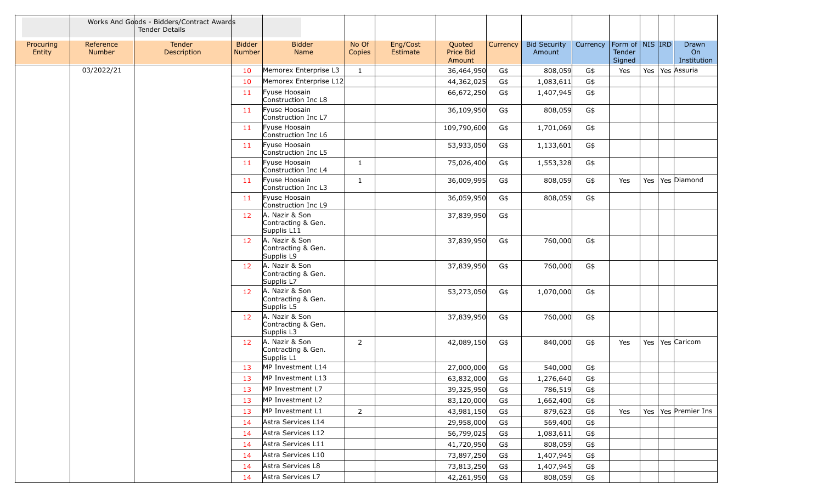|                     |                     | Works And Goods - Bidders/Contract Awards<br><b>Tender Details</b> |                                |                                                     |                 |                      |                               |          |                               |          |                                                     |  |                            |
|---------------------|---------------------|--------------------------------------------------------------------|--------------------------------|-----------------------------------------------------|-----------------|----------------------|-------------------------------|----------|-------------------------------|----------|-----------------------------------------------------|--|----------------------------|
| Procuring<br>Entity | Reference<br>Number | <b>Tender</b><br>Description                                       | <b>Bidder</b><br><b>Number</b> | <b>Bidder</b><br>Name                               | No Of<br>Copies | Eng/Cost<br>Estimate | Quoted<br>Price Bid<br>Amount | Currency | <b>Bid Security</b><br>Amount | Currency | Form of $\vert$ NIS $\vert$ IRD<br>Tender<br>Signed |  | Drawn<br>On<br>Institution |
|                     | 03/2022/21          |                                                                    | 10                             | Memorex Enterprise L3                               | $\mathbf{1}$    |                      | 36,464,950                    | G\$      | 808,059                       | G\$      | Yes                                                 |  | Yes   Yes Assuria          |
|                     |                     |                                                                    | 10                             | Memorex Enterprise L12                              |                 |                      | 44,362,025                    | G\$      | 1,083,611                     | G\$      |                                                     |  |                            |
|                     |                     |                                                                    | 11                             | Fyuse Hoosain<br>Construction Inc L8                |                 |                      | 66,672,250                    | G\$      | 1,407,945                     | G\$      |                                                     |  |                            |
|                     |                     |                                                                    | 11                             | Fyuse Hoosain<br>Construction Inc L7                |                 |                      | 36,109,950                    | G\$      | 808,059                       | G\$      |                                                     |  |                            |
|                     |                     |                                                                    | -11                            | Fyuse Hoosain<br>Construction Inc L6                |                 |                      | 109,790,600                   | G\$      | 1,701,069                     | G\$      |                                                     |  |                            |
|                     |                     |                                                                    | 11                             | Fyuse Hoosain<br>Construction Inc L5                |                 |                      | 53,933,050                    | G\$      | 1,133,601                     | G\$      |                                                     |  |                            |
|                     |                     |                                                                    | 11                             | Fyuse Hoosain<br>Construction Inc L4                | $\mathbf{1}$    |                      | 75,026,400                    | G\$      | 1,553,328                     | G\$      |                                                     |  |                            |
|                     |                     |                                                                    | 11                             | Fyuse Hoosain<br>Construction Inc L3                | $\mathbf{1}$    |                      | 36,009,995                    | G\$      | 808,059                       | G\$      | Yes                                                 |  | Yes   Yes   Diamond        |
|                     |                     |                                                                    | 11                             | Fyuse Hoosain<br>Construction Inc L9                |                 |                      | 36,059,950                    | G\$      | 808,059                       | G\$      |                                                     |  |                            |
|                     |                     |                                                                    | 12                             | A. Nazir & Son<br>Contracting & Gen.<br>Supplis L11 |                 |                      | 37,839,950                    | G\$      |                               |          |                                                     |  |                            |
|                     |                     |                                                                    | 12                             | A. Nazir & Son<br>Contracting & Gen.<br>Supplis L9  |                 |                      | 37,839,950                    | G\$      | 760,000                       | G\$      |                                                     |  |                            |
|                     |                     |                                                                    | 12                             | A. Nazir & Son<br>Contracting & Gen.<br>Supplis L7  |                 |                      | 37,839,950                    | G\$      | 760,000                       | G\$      |                                                     |  |                            |
|                     |                     |                                                                    | 12                             | A. Nazir & Son<br>Contracting & Gen.<br>Supplis L5  |                 |                      | 53,273,050                    | G\$      | 1,070,000                     | G\$      |                                                     |  |                            |
|                     |                     |                                                                    | 12 <sup>7</sup>                | A. Nazir & Son<br>Contracting & Gen.<br>Supplis L3  |                 |                      | 37,839,950                    | G\$      | 760,000                       | G\$      |                                                     |  |                            |
|                     |                     |                                                                    | 12                             | A. Nazir & Son<br>Contracting & Gen.<br>Supplis L1  | $\overline{2}$  |                      | 42,089,150                    | G\$      | 840,000                       | G\$      | Yes                                                 |  | Yes   Yes   Caricom        |
|                     |                     |                                                                    | 13                             | MP Investment L14                                   |                 |                      | 27,000,000                    | G\$      | 540,000                       | G\$      |                                                     |  |                            |
|                     |                     |                                                                    | 13                             | MP Investment L13                                   |                 |                      | 63,832,000                    | G\$      | 1,276,640                     | G\$      |                                                     |  |                            |
|                     |                     |                                                                    | 13                             | MP Investment L7                                    |                 |                      | 39,325,950                    | G\$      | 786,519                       | G\$      |                                                     |  |                            |
|                     |                     |                                                                    | 13                             | MP Investment L2                                    |                 |                      | 83,120,000                    | G\$      | 1,662,400                     | G\$      |                                                     |  |                            |
|                     |                     |                                                                    | 13                             | MP Investment L1                                    | $\overline{2}$  |                      | 43,981,150                    | G\$      | 879,623                       | G\$      | Yes                                                 |  | Yes   Yes   Premier Ins    |
|                     |                     |                                                                    | 14                             | Astra Services L14                                  |                 |                      | 29,958,000                    | G\$      | 569,400                       | G\$      |                                                     |  |                            |
|                     |                     |                                                                    | 14                             | Astra Services L12                                  |                 |                      | 56,799,025                    | G\$      | 1,083,611                     | G\$      |                                                     |  |                            |
|                     |                     |                                                                    | 14                             | Astra Services L11                                  |                 |                      | 41,720,950                    | G\$      | 808,059                       | G\$      |                                                     |  |                            |
|                     |                     |                                                                    | 14                             | Astra Services L10                                  |                 |                      | 73,897,250                    | G\$      | 1,407,945                     | G\$      |                                                     |  |                            |
|                     |                     |                                                                    | 14                             | Astra Services L8                                   |                 |                      | 73,813,250                    | G\$      | 1,407,945                     | G\$      |                                                     |  |                            |
|                     |                     |                                                                    | 14                             | Astra Services L7                                   |                 |                      | 42,261,950                    | G\$      | 808,059                       | G\$      |                                                     |  |                            |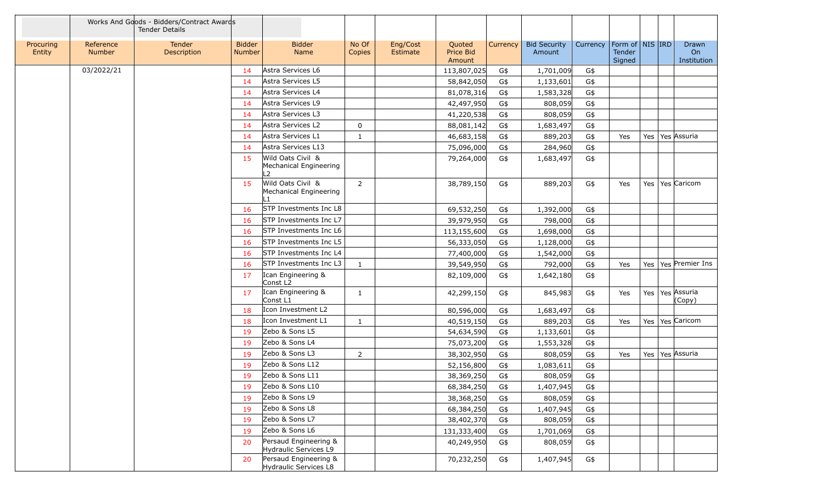|                     |                     | Works And Goods - Bidders/Contract Awards<br><b>Tender Details</b> |                         |                                                               |                 |                      |                               |          |                               |          |                                         |     |                            |
|---------------------|---------------------|--------------------------------------------------------------------|-------------------------|---------------------------------------------------------------|-----------------|----------------------|-------------------------------|----------|-------------------------------|----------|-----------------------------------------|-----|----------------------------|
| Procuring<br>Entity | Reference<br>Number | <b>Tender</b><br>Description                                       | <b>Bidder</b><br>Number | <b>Bidder</b><br>Name                                         | No Of<br>Copies | Eng/Cost<br>Estimate | Quoted<br>Price Bid<br>Amount | Currency | <b>Bid Security</b><br>Amount | Currency | Form of   NIS   IRD<br>Tender<br>Signed |     | Drawn<br>On<br>Institution |
|                     | 03/2022/21          |                                                                    | 14                      | Astra Services L6                                             |                 |                      | 113,807,025                   | G\$      | 1,701,009                     | G\$      |                                         |     |                            |
|                     |                     |                                                                    | 14                      | Astra Services L5                                             |                 |                      | 58,842,050                    | G\$      | 1,133,601                     | G\$      |                                         |     |                            |
|                     |                     |                                                                    | 14                      | Astra Services L4                                             |                 |                      | 81,078,316                    | G\$      | 1,583,328                     | G\$      |                                         |     |                            |
|                     |                     |                                                                    | 14                      | Astra Services L9                                             |                 |                      | 42,497,950                    | G\$      | 808,059                       | G\$      |                                         |     |                            |
|                     |                     |                                                                    | 14                      | Astra Services L3                                             |                 |                      | 41,220,538                    | G\$      | 808,059                       | G\$      |                                         |     |                            |
|                     |                     |                                                                    | 14                      | Astra Services L2                                             | $\mathbf 0$     |                      | 88,081,142                    | G\$      | 1,683,497                     | G\$      |                                         |     |                            |
|                     |                     |                                                                    | 14                      | Astra Services L1                                             | $\mathbf{1}$    |                      | 46,683,158                    | G\$      | 889,203                       | G\$      | Yes                                     | Yes | Yes Assuria                |
|                     |                     |                                                                    | 14                      | Astra Services L13                                            |                 |                      | 75,096,000                    | G\$      | 284,960                       | G\$      |                                         |     |                            |
|                     |                     |                                                                    | 15                      | Wild Oats Civil &<br>Mechanical Engineering<br>$\overline{2}$ |                 |                      | 79,264,000                    | G\$      | 1,683,497                     | G\$      |                                         |     |                            |
|                     |                     |                                                                    | <b>15</b>               | Wild Oats Civil &<br>Mechanical Engineering                   | $\overline{2}$  |                      | 38,789,150                    | G\$      | 889,203                       | G\$      | Yes                                     | Yes | Yes Caricom                |
|                     |                     |                                                                    | 16                      | STP Investments Inc L8                                        |                 |                      | 69,532,250                    | G\$      | 1,392,000                     | G\$      |                                         |     |                            |
|                     |                     |                                                                    | 16                      | STP Investments Inc L7                                        |                 |                      | 39,979,950                    | G\$      | 798,000                       | G\$      |                                         |     |                            |
|                     |                     |                                                                    | 16                      | STP Investments Inc L6                                        |                 |                      | 113,155,600                   | G\$      | 1,698,000                     | G\$      |                                         |     |                            |
|                     |                     |                                                                    | 16                      | STP Investments Inc L5                                        |                 |                      | 56,333,050                    | G\$      | 1,128,000                     | G\$      |                                         |     |                            |
|                     |                     |                                                                    | 16                      | STP Investments Inc L4                                        |                 |                      | 77,400,000                    | G\$      | 1,542,000                     | G\$      |                                         |     |                            |
|                     |                     |                                                                    | 16                      | STP Investments Inc L3                                        | $\mathbf{1}$    |                      | 39,549,950                    | G\$      | 792,000                       | G\$      | Yes                                     | Yes | Yes Premier Ins            |
|                     |                     |                                                                    | 17                      | Ican Engineering &<br>Const L <sub>2</sub>                    |                 |                      | 82,109,000                    | G\$      | 1,642,180                     | G\$      |                                         |     |                            |
|                     |                     |                                                                    | 17                      | Ican Engineering &<br>Const L1                                | 1               |                      | 42,299,150                    | G\$      | 845,983                       | G\$      | Yes                                     | Yes | Yes Assuria<br>(Copy)      |
|                     |                     |                                                                    | 18                      | Icon Investment L2                                            |                 |                      | 80,596,000                    | G\$      | 1,683,497                     | G\$      |                                         |     |                            |
|                     |                     |                                                                    | 18                      | Icon Investment L1                                            | $\mathbf{1}$    |                      | 40,519,150                    | G\$      | 889,203                       | G\$      | Yes                                     | Yes | Yes Caricom                |
|                     |                     |                                                                    | 19                      | Zebo & Sons L5                                                |                 |                      | 54,634,590                    | G\$      | 1,133,601                     | G\$      |                                         |     |                            |
|                     |                     |                                                                    | 19                      | Zebo & Sons L4                                                |                 |                      | 75,073,200                    | G\$      | 1,553,328                     | G\$      |                                         |     |                            |
|                     |                     |                                                                    | 19                      | Zebo & Sons L3                                                | $\overline{2}$  |                      | 38,302,950                    | G\$      | 808,059                       | G\$      | Yes                                     |     | Yes   Yes   Assuria        |
|                     |                     |                                                                    | 19                      | Zebo & Sons L12                                               |                 |                      | 52,156,800                    | G\$      | 1,083,611                     | G\$      |                                         |     |                            |
|                     |                     |                                                                    | 19                      | Zebo & Sons L11                                               |                 |                      | 38,369,250                    | G\$      | 808,059                       | G\$      |                                         |     |                            |
|                     |                     |                                                                    | 19                      | Zebo & Sons L10                                               |                 |                      | 68,384,250                    | G\$      | 1,407,945                     | G\$      |                                         |     |                            |
|                     |                     |                                                                    | 19                      | Zebo & Sons L9                                                |                 |                      | 38,368,250                    | G\$      | 808,059                       | G\$      |                                         |     |                            |
|                     |                     |                                                                    | 19                      | Zebo & Sons L8                                                |                 |                      | 68,384,250                    | G\$      | 1,407,945                     | G\$      |                                         |     |                            |
|                     |                     |                                                                    | 19                      | Zebo & Sons L7                                                |                 |                      | 38,402,370                    | G\$      | 808,059                       | G\$      |                                         |     |                            |
|                     |                     |                                                                    | 19                      | Zebo & Sons L6                                                |                 |                      | 131,333,400                   | G\$      | 1,701,069                     | G\$      |                                         |     |                            |
|                     |                     |                                                                    | 20                      | Persaud Engineering &<br>Hydraulic Services L9                |                 |                      | 40,249,950                    | G\$      | 808,059                       | G\$      |                                         |     |                            |
|                     |                     |                                                                    | 20                      | Persaud Engineering &<br>Hydraulic Services L8                |                 |                      | 70,232,250                    | G\$      | 1,407,945                     | G\$      |                                         |     |                            |